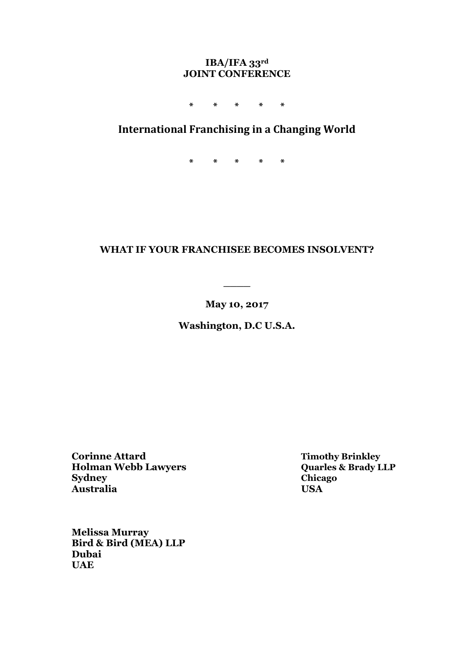### **IBA/IFA 33rd JOINT CONFERENCE**

**\* \* \* \* \***

# **International Franchising in a Changing World**

**\* \* \* \* \***

# **WHAT IF YOUR FRANCHISEE BECOMES INSOLVENT?**

**May 10, 2017** 

**\_\_\_\_**

**Washington, D.C U.S.A.** 

**Corinne Attard Timothy Brinkley Holman Webb Lawyers**<br>**Sydney Australia USA** 

**Sydney Chicago**

**Melissa Murray Bird & Bird (MEA) LLP Dubai UAE**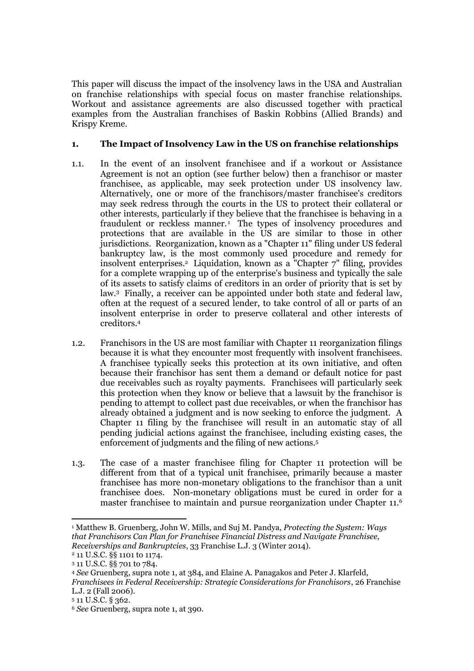This paper will discuss the impact of the insolvency laws in the USA and Australian on franchise relationships with special focus on master franchise relationships. Workout and assistance agreements are also discussed together with practical examples from the Australian franchises of Baskin Robbins (Allied Brands) and Krispy Kreme.

### **1. The Impact of Insolvency Law in the US on franchise relationships**

- 1.1. In the event of an insolvent franchisee and if a workout or Assistance Agreement is not an option (see further below) then a franchisor or master franchisee, as applicable, may seek protection under US insolvency law. Alternatively, one or more of the franchisors/master franchisee's creditors may seek redress through the courts in the US to protect their collateral or other interests, particularly if they believe that the franchisee is behaving in a fraudulent or reckless manner.<sup>1</sup> The types of insolvency procedures and protections that are available in the US are similar to those in other jurisdictions. Reorganization, known as a "Chapter 11" filing under US federal bankruptcy law, is the most commonly used procedure and remedy for insolvent enterprises.<sup>2</sup> Liquidation, known as a "Chapter 7" filing, provides for a complete wrapping up of the enterprise's business and typically the sale of its assets to satisfy claims of creditors in an order of priority that is set by law.<sup>3</sup> Finally, a receiver can be appointed under both state and federal law, often at the request of a secured lender, to take control of all or parts of an insolvent enterprise in order to preserve collateral and other interests of creditors.<sup>4</sup>
- 1.2. Franchisors in the US are most familiar with Chapter 11 reorganization filings because it is what they encounter most frequently with insolvent franchisees. A franchisee typically seeks this protection at its own initiative, and often because their franchisor has sent them a demand or default notice for past due receivables such as royalty payments. Franchisees will particularly seek this protection when they know or believe that a lawsuit by the franchisor is pending to attempt to collect past due receivables, or when the franchisor has already obtained a judgment and is now seeking to enforce the judgment. A Chapter 11 filing by the franchisee will result in an automatic stay of all pending judicial actions against the franchisee, including existing cases, the enforcement of judgments and the filing of new actions.<sup>5</sup>
- 1.3. The case of a master franchisee filing for Chapter 11 protection will be different from that of a typical unit franchisee, primarily because a master franchisee has more non-monetary obligations to the franchisor than a unit franchisee does. Non-monetary obligations must be cured in order for a master franchisee to maintain and pursue reorganization under Chapter 11.<sup>6</sup>

 $\overline{\phantom{a}}$ <sup>1</sup> Matthew B. Gruenberg, John W. Mills, and Suj M. Pandya, *Protecting the System: Ways that Franchisors Can Plan for Franchisee Financial Distress and Navigate Franchisee, Receiverships and Bankruptcies*, 33 Franchise L.J. 3 (Winter 2014).

<sup>2</sup> 11 U.S.C. §§ 1101 to 1174.

<sup>3</sup> 11 U.S.C. §§ 701 to 784.

<sup>4</sup> *See* Gruenberg, supra note 1, at 384, and Elaine A. Panagakos and Peter J. Klarfeld, *Franchisees in Federal Receivership: Strategic Considerations for Franchisors*, 26 Franchise L.J. 2 (Fall 2006).

<sup>5</sup> 11 U.S.C. § 362.

<sup>6</sup> *See* Gruenberg, supra note 1, at 390.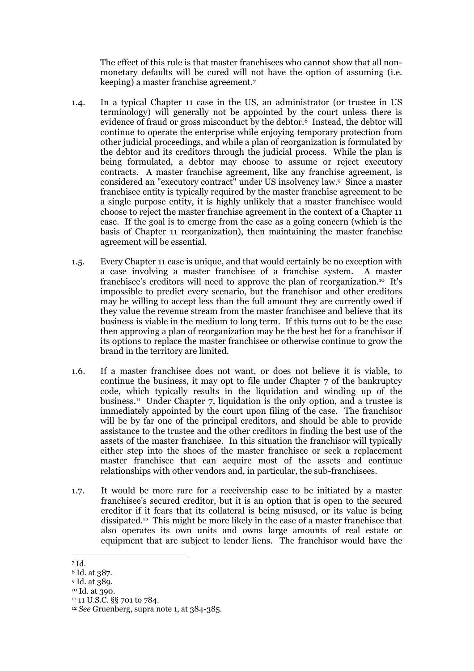The effect of this rule is that master franchisees who cannot show that all nonmonetary defaults will be cured will not have the option of assuming (i.e. keeping) a master franchise agreement.<sup>7</sup>

- 1.4. In a typical Chapter 11 case in the US, an administrator (or trustee in US terminology) will generally not be appointed by the court unless there is evidence of fraud or gross misconduct by the debtor.<sup>8</sup> Instead, the debtor will continue to operate the enterprise while enjoying temporary protection from other judicial proceedings, and while a plan of reorganization is formulated by the debtor and its creditors through the judicial process. While the plan is being formulated, a debtor may choose to assume or reject executory contracts. A master franchise agreement, like any franchise agreement, is considered an "executory contract" under US insolvency law.<sup>9</sup> Since a master franchisee entity is typically required by the master franchise agreement to be a single purpose entity, it is highly unlikely that a master franchisee would choose to reject the master franchise agreement in the context of a Chapter 11 case. If the goal is to emerge from the case as a going concern (which is the basis of Chapter 11 reorganization), then maintaining the master franchise agreement will be essential.
- 1.5. Every Chapter 11 case is unique, and that would certainly be no exception with a case involving a master franchisee of a franchise system. A master franchisee's creditors will need to approve the plan of reorganization.10 It's impossible to predict every scenario, but the franchisor and other creditors may be willing to accept less than the full amount they are currently owed if they value the revenue stream from the master franchisee and believe that its business is viable in the medium to long term. If this turns out to be the case then approving a plan of reorganization may be the best bet for a franchisor if its options to replace the master franchisee or otherwise continue to grow the brand in the territory are limited.
- 1.6. If a master franchisee does not want, or does not believe it is viable, to continue the business, it may opt to file under Chapter 7 of the bankruptcy code, which typically results in the liquidation and winding up of the business.<sup>11</sup> Under Chapter 7, liquidation is the only option, and a trustee is immediately appointed by the court upon filing of the case. The franchisor will be by far one of the principal creditors, and should be able to provide assistance to the trustee and the other creditors in finding the best use of the assets of the master franchisee. In this situation the franchisor will typically either step into the shoes of the master franchisee or seek a replacement master franchisee that can acquire most of the assets and continue relationships with other vendors and, in particular, the sub-franchisees.
- 1.7. It would be more rare for a receivership case to be initiated by a master franchisee's secured creditor, but it is an option that is open to the secured creditor if it fears that its collateral is being misused, or its value is being dissipated.<sup>12</sup> This might be more likely in the case of a master franchisee that also operates its own units and owns large amounts of real estate or equipment that are subject to lender liens. The franchisor would have the

<sup>7</sup> Id.

<sup>8</sup> Id. at 387.

<sup>9</sup> Id. at 389.

<sup>10</sup> Id. at 390.

<sup>&</sup>lt;sup>11</sup> 11 U.S.C. §§ 701 to 784.

<sup>12</sup> *See* Gruenberg, supra note 1, at 384-385.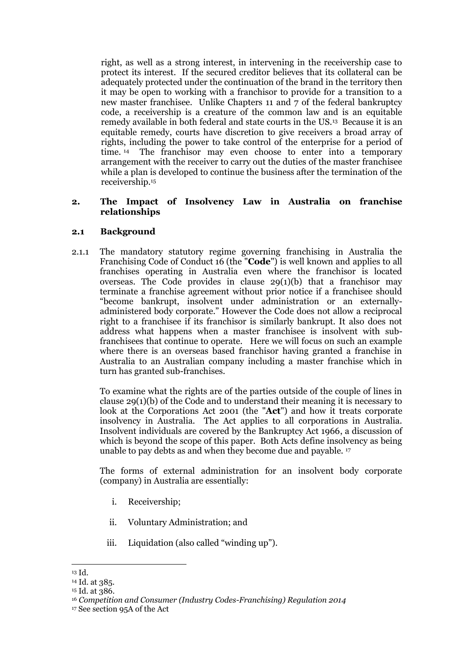right, as well as a strong interest, in intervening in the receivership case to protect its interest. If the secured creditor believes that its collateral can be adequately protected under the continuation of the brand in the territory then it may be open to working with a franchisor to provide for a transition to a new master franchisee. Unlike Chapters 11 and 7 of the federal bankruptcy code, a receivership is a creature of the common law and is an equitable remedy available in both federal and state courts in the US.<sup>13</sup> Because it is an equitable remedy, courts have discretion to give receivers a broad array of rights, including the power to take control of the enterprise for a period of time. <sup>14</sup> The franchisor may even choose to enter into a temporary arrangement with the receiver to carry out the duties of the master franchisee while a plan is developed to continue the business after the termination of the receivership.<sup>15</sup>

### **2. The Impact of Insolvency Law in Australia on franchise relationships**

#### **2.1 Background**

2.1.1 The mandatory statutory regime governing franchising in Australia the Franchising Code of Conduct 16 (the "**Code**") is well known and applies to all franchises operating in Australia even where the franchisor is located overseas. The Code provides in clause  $29(1)(b)$  that a franchisor may terminate a franchise agreement without prior notice if a franchisee should "become bankrupt, insolvent under administration or an externallyadministered body corporate." However the Code does not allow a reciprocal right to a franchisee if its franchisor is similarly bankrupt. It also does not address what happens when a master franchisee is insolvent with subfranchisees that continue to operate. Here we will focus on such an example where there is an overseas based franchisor having granted a franchise in Australia to an Australian company including a master franchise which in turn has granted sub-franchises.

To examine what the rights are of the parties outside of the couple of lines in clause 29(1)(b) of the Code and to understand their meaning it is necessary to look at the Corporations Act 2001 (the "**Act**") and how it treats corporate insolvency in Australia. The Act applies to all corporations in Australia. Insolvent individuals are covered by the Bankruptcy Act 1966, a discussion of which is beyond the scope of this paper. Both Acts define insolvency as being unable to pay debts as and when they become due and payable. <sup>17</sup>

The forms of external administration for an insolvent body corporate (company) in Australia are essentially:

- i. Receivership;
- ii. Voluntary Administration; and
- iii. Liquidation (also called "winding up").

 $\overline{\phantom{a}}$ <sup>13</sup> Id.

<sup>14</sup> Id. at 385.

<sup>15</sup> Id. at 386.

<sup>16</sup> *Competition and Consumer (Industry Codes-Franchising) Regulation 2014*

<sup>17</sup> See section 95A of the Act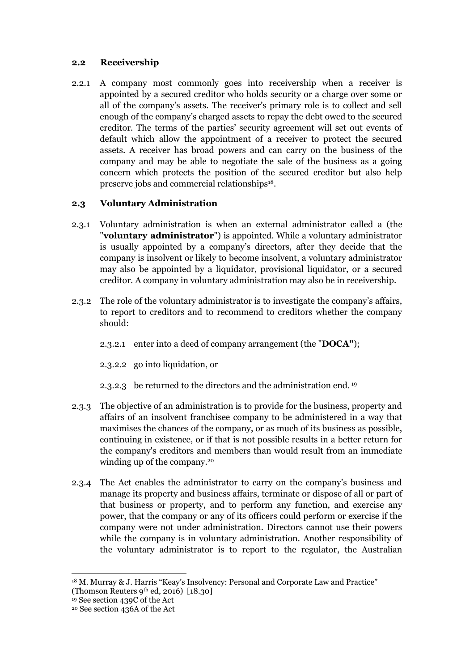### **2.2 Receivership**

2.2.1 A company most commonly goes into receivership when a receiver is appointed by a secured creditor who holds security or a charge over some or all of the company's assets. The receiver's primary role is to collect and sell enough of the company's charged assets to repay the debt owed to the secured creditor. The terms of the parties' security agreement will set out events of default which allow the appointment of a receiver to protect the secured assets. A receiver has broad powers and can carry on the business of the company and may be able to negotiate the sale of the business as a going concern which protects the position of the secured creditor but also help preserve jobs and commercial relationships18.

### **2.3 Voluntary Administration**

- 2.3.1 Voluntary administration is when an external administrator called a (the "**voluntary administrator**") is appointed. While a voluntary administrator is usually appointed by a company's directors, after they decide that the company is insolvent or likely to become insolvent, a voluntary administrator may also be appointed by a liquidator, provisional liquidator, or a secured creditor. A company in voluntary administration may also be in receivership.
- 2.3.2 The role of the voluntary administrator is to investigate the company's affairs, to report to creditors and to recommend to creditors whether the company should:
	- 2.3.2.1 enter into a deed of company arrangement (the "**DOCA"**);
	- 2.3.2.2 go into liquidation, or
	- 2.3.2.3 be returned to the directors and the administration end. <sup>19</sup>
- 2.3.3 The objective of an administration is to provide for the business, property and affairs of an insolvent franchisee company to be administered in a way that maximises the chances of the company, or as much of its business as possible, continuing in existence, or if that is not possible results in a better return for the company's creditors and members than would result from an immediate winding up of the company.<sup>20</sup>
- 2.3.4 The Act enables the administrator to carry on the company's business and manage its property and business affairs, terminate or dispose of all or part of that business or property, and to perform any function, and exercise any power, that the company or any of its officers could perform or exercise if the company were not under administration. Directors cannot use their powers while the company is in voluntary administration. Another responsibility of the voluntary administrator is to report to the regulator, the Australian

<sup>&</sup>lt;sup>18</sup> M. Murray & J. Harris "Keay's Insolvency: Personal and Corporate Law and Practice"

<sup>(</sup>Thomson Reuters 9th ed, 2016)  $[18.30]$ 

<sup>19</sup> See section 439C of the Act

<sup>20</sup> See section 436A of the Act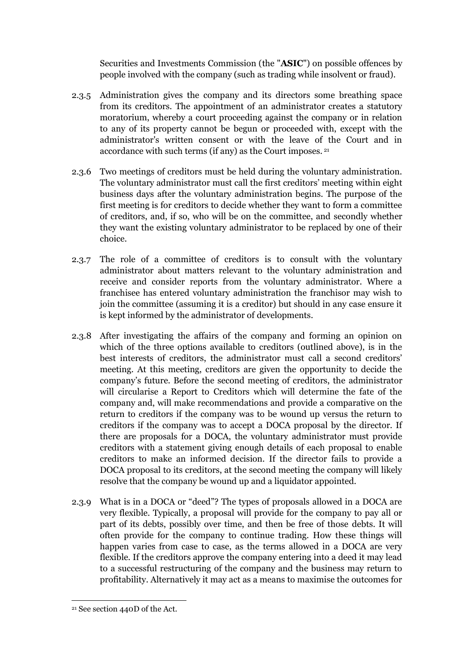Securities and Investments Commission (the "**ASIC**") on possible offences by people involved with the company (such as trading while insolvent or fraud).

- 2.3.5 Administration gives the company and its directors some breathing space from its creditors. The appointment of an administrator creates a statutory moratorium, whereby a court proceeding against the company or in relation to any of its property cannot be begun or proceeded with, except with the administrator's written consent or with the leave of the Court and in accordance with such terms (if any) as the Court imposes. <sup>21</sup>
- 2.3.6 Two meetings of creditors must be held during the voluntary administration. The voluntary administrator must call the first creditors' meeting within eight business days after the voluntary administration begins. The purpose of the first meeting is for creditors to decide whether they want to form a committee of creditors, and, if so, who will be on the committee, and secondly whether they want the existing voluntary administrator to be replaced by one of their choice.
- 2.3.7 The role of a committee of creditors is to consult with the voluntary administrator about matters relevant to the voluntary administration and receive and consider reports from the voluntary administrator. Where a franchisee has entered voluntary administration the franchisor may wish to join the committee (assuming it is a creditor) but should in any case ensure it is kept informed by the administrator of developments.
- 2.3.8 After investigating the affairs of the company and forming an opinion on which of the three options available to creditors (outlined above), is in the best interests of creditors, the administrator must call a second creditors' meeting. At this meeting, creditors are given the opportunity to decide the company's future. Before the second meeting of creditors, the administrator will circularise a Report to Creditors which will determine the fate of the company and, will make recommendations and provide a comparative on the return to creditors if the company was to be wound up versus the return to creditors if the company was to accept a DOCA proposal by the director. If there are proposals for a DOCA, the voluntary administrator must provide creditors with a statement giving enough details of each proposal to enable creditors to make an informed decision. If the director fails to provide a DOCA proposal to its creditors, at the second meeting the company will likely resolve that the company be wound up and a liquidator appointed.
- 2.3.9 What is in a DOCA or "deed"? The types of proposals allowed in a DOCA are very flexible. Typically, a proposal will provide for the company to pay all or part of its debts, possibly over time, and then be free of those debts. It will often provide for the company to continue trading. How these things will happen varies from case to case, as the terms allowed in a DOCA are very flexible. If the creditors approve the company entering into a deed it may lead to a successful restructuring of the company and the business may return to profitability. Alternatively it may act as a means to maximise the outcomes for

<sup>21</sup> See section 440D of the Act.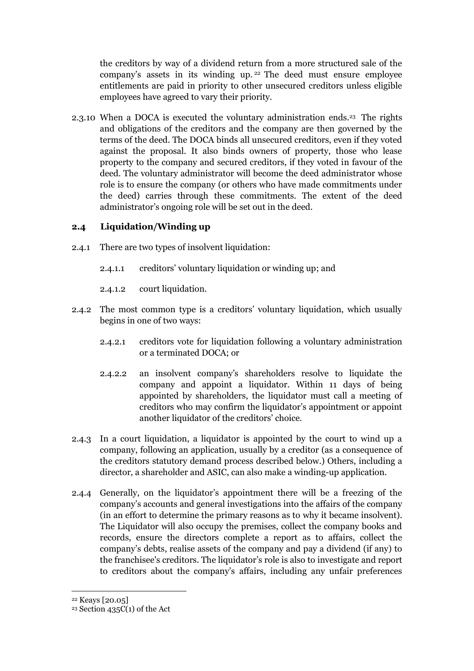the creditors by way of a dividend return from a more structured sale of the company's assets in its winding up. <sup>22</sup> The deed must ensure employee entitlements are paid in priority to other unsecured creditors unless eligible employees have agreed to vary their priority.

2.3.10 When a DOCA is executed the voluntary administration ends.<sup>23</sup> The rights and obligations of the creditors and the company are then governed by the terms of the deed. The DOCA binds all unsecured creditors, even if they voted against the proposal. It also binds owners of property, those who lease property to the company and secured creditors, if they voted in favour of the deed. The voluntary administrator will become the deed administrator whose role is to ensure the company (or others who have made commitments under the deed) carries through these commitments. The extent of the deed administrator's ongoing role will be set out in the deed.

### **2.4 Liquidation/Winding up**

- 2.4.1 There are two types of insolvent liquidation:
	- 2.4.1.1 creditors' voluntary liquidation or winding up; and
	- 2.4.1.2 court liquidation.
- 2.4.2 The most common type is a creditors' voluntary liquidation, which usually begins in one of two ways:
	- 2.4.2.1 creditors vote for liquidation following a voluntary administration or a terminated DOCA; or
	- 2.4.2.2 an insolvent company's shareholders resolve to liquidate the company and appoint a liquidator. Within 11 days of being appointed by shareholders, the liquidator must call a meeting of creditors who may confirm the liquidator's appointment or appoint another liquidator of the creditors' choice.
- 2.4.3 In a court liquidation, a liquidator is appointed by the court to wind up a company, following an application, usually by a creditor (as a consequence of the creditors statutory demand process described below.) Others, including a director, a shareholder and ASIC, can also make a winding-up application.
- 2.4.4 Generally, on the liquidator's appointment there will be a freezing of the company's accounts and general investigations into the affairs of the company (in an effort to determine the primary reasons as to why it became insolvent). The Liquidator will also occupy the premises, collect the company books and records, ensure the directors complete a report as to affairs, collect the company's debts, realise assets of the company and pay a dividend (if any) to the franchisee's creditors. The liquidator's role is also to investigate and report to creditors about the company's affairs, including any unfair preferences

 $22$  Keays [20.05]

<sup>23</sup> Section 435C(1) of the Act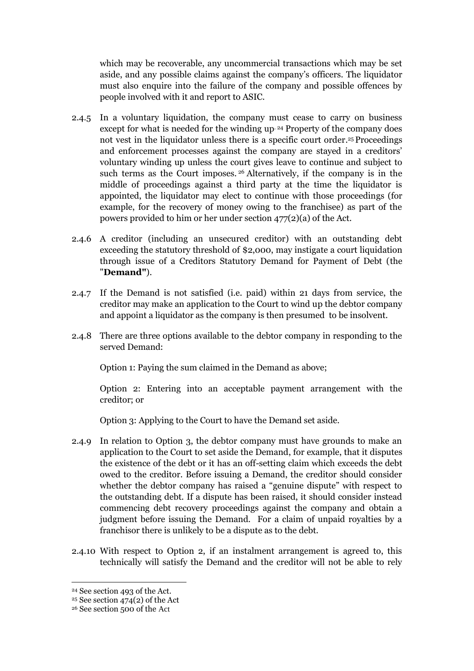which may be recoverable, any uncommercial transactions which may be set aside, and any possible claims against the company's officers. The liquidator must also enquire into the failure of the company and possible offences by people involved with it and report to ASIC.

- 2.4.5 In a voluntary liquidation, the company must cease to carry on business except for what is needed for the winding up<sup>24</sup> Property of the company does not vest in the liquidator unless there is a specific court order. <sup>25</sup> Proceedings and enforcement processes against the company are stayed in a creditors' voluntary winding up unless the court gives leave to continue and subject to such terms as the Court imposes.<sup>26</sup> Alternatively, if the company is in the middle of proceedings against a third party at the time the liquidator is appointed, the liquidator may elect to continue with those proceedings (for example, for the recovery of money owing to the franchisee) as part of the powers provided to him or her under section 477(2)(a) of the Act.
- 2.4.6 A creditor (including an unsecured creditor) with an outstanding debt exceeding the statutory threshold of \$2,000, may instigate a court liquidation through issue of a Creditors Statutory Demand for Payment of Debt (the "**Demand"**).
- 2.4.7 If the Demand is not satisfied (i.e. paid) within 21 days from service, the creditor may make an application to the Court to wind up the debtor company and appoint a liquidator as the company is then presumed to be insolvent.
- 2.4.8 There are three options available to the debtor company in responding to the served Demand:

Option 1: Paying the sum claimed in the Demand as above;

Option 2: Entering into an acceptable payment arrangement with the creditor; or

Option 3: Applying to the Court to have the Demand set aside.

- 2.4.9 In relation to Option 3, the debtor company must have grounds to make an application to the Court to set aside the Demand, for example, that it disputes the existence of the debt or it has an off-setting claim which exceeds the debt owed to the creditor. Before issuing a Demand, the creditor should consider whether the debtor company has raised a "genuine dispute" with respect to the outstanding debt. If a dispute has been raised, it should consider instead commencing debt recovery proceedings against the company and obtain a judgment before issuing the Demand. For a claim of unpaid royalties by a franchisor there is unlikely to be a dispute as to the debt.
- 2.4.10 With respect to Option 2, if an instalment arrangement is agreed to, this technically will satisfy the Demand and the creditor will not be able to rely

 $\overline{a}$ 

<sup>24</sup> See section 493 of the Act.

<sup>25</sup> See section 474(2) of the Act

<sup>26</sup> See section 500 of the Act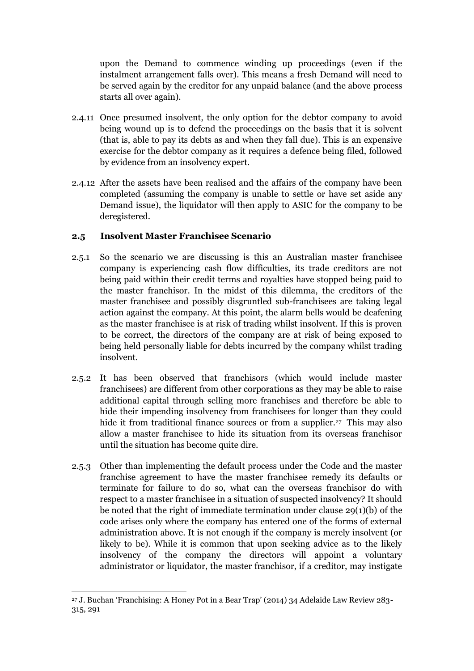upon the Demand to commence winding up proceedings (even if the instalment arrangement falls over). This means a fresh Demand will need to be served again by the creditor for any unpaid balance (and the above process starts all over again).

- 2.4.11 Once presumed insolvent, the only option for the debtor company to avoid being wound up is to defend the proceedings on the basis that it is solvent (that is, able to pay its debts as and when they fall due). This is an expensive exercise for the debtor company as it requires a defence being filed, followed by evidence from an insolvency expert.
- 2.4.12 After the assets have been realised and the affairs of the company have been completed (assuming the company is unable to settle or have set aside any Demand issue), the liquidator will then apply to ASIC for the company to be deregistered.

## **2.5 Insolvent Master Franchisee Scenario**

- 2.5.1 So the scenario we are discussing is this an Australian master franchisee company is experiencing cash flow difficulties, its trade creditors are not being paid within their credit terms and royalties have stopped being paid to the master franchisor. In the midst of this dilemma, the creditors of the master franchisee and possibly disgruntled sub-franchisees are taking legal action against the company. At this point, the alarm bells would be deafening as the master franchisee is at risk of trading whilst insolvent. If this is proven to be correct, the directors of the company are at risk of being exposed to being held personally liable for debts incurred by the company whilst trading insolvent.
- 2.5.2 It has been observed that franchisors (which would include master franchisees) are different from other corporations as they may be able to raise additional capital through selling more franchises and therefore be able to hide their impending insolvency from franchisees for longer than they could hide it from traditional finance sources or from a supplier.<sup>27</sup> This may also allow a master franchisee to hide its situation from its overseas franchisor until the situation has become quite dire.
- 2.5.3 Other than implementing the default process under the Code and the master franchise agreement to have the master franchisee remedy its defaults or terminate for failure to do so, what can the overseas franchisor do with respect to a master franchisee in a situation of suspected insolvency? It should be noted that the right of immediate termination under clause 29(1)(b) of the code arises only where the company has entered one of the forms of external administration above. It is not enough if the company is merely insolvent (or likely to be). While it is common that upon seeking advice as to the likely insolvency of the company the directors will appoint a voluntary administrator or liquidator, the master franchisor, if a creditor, may instigate

 $\overline{\phantom{a}}$ <sup>27</sup> J. Buchan 'Franchising: A Honey Pot in a Bear Trap' (2014) 34 Adelaide Law Review 283- 315, 291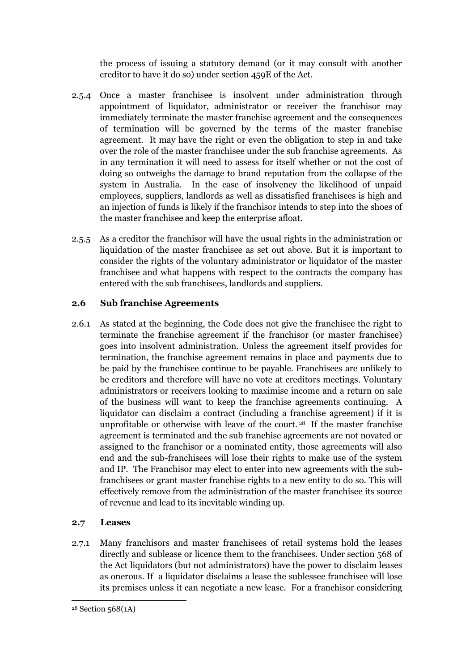the process of issuing a statutory demand (or it may consult with another creditor to have it do so) under section 459E of the Act.

- 2.5.4 Once a master franchisee is insolvent under administration through appointment of liquidator, administrator or receiver the franchisor may immediately terminate the master franchise agreement and the consequences of termination will be governed by the terms of the master franchise agreement. It may have the right or even the obligation to step in and take over the role of the master franchisee under the sub franchise agreements. As in any termination it will need to assess for itself whether or not the cost of doing so outweighs the damage to brand reputation from the collapse of the system in Australia. In the case of insolvency the likelihood of unpaid employees, suppliers, landlords as well as dissatisfied franchisees is high and an injection of funds is likely if the franchisor intends to step into the shoes of the master franchisee and keep the enterprise afloat.
- 2.5.5 As a creditor the franchisor will have the usual rights in the administration or liquidation of the master franchisee as set out above. But it is important to consider the rights of the voluntary administrator or liquidator of the master franchisee and what happens with respect to the contracts the company has entered with the sub franchisees, landlords and suppliers.

### **2.6 Sub franchise Agreements**

2.6.1 As stated at the beginning, the Code does not give the franchisee the right to terminate the franchise agreement if the franchisor (or master franchisee) goes into insolvent administration. Unless the agreement itself provides for termination, the franchise agreement remains in place and payments due to be paid by the franchisee continue to be payable. Franchisees are unlikely to be creditors and therefore will have no vote at creditors meetings. Voluntary administrators or receivers looking to maximise income and a return on sale of the business will want to keep the franchise agreements continuing. A liquidator can disclaim a contract (including a franchise agreement) if it is unprofitable or otherwise with leave of the court. <sup>28</sup> If the master franchise agreement is terminated and the sub franchise agreements are not novated or assigned to the franchisor or a nominated entity, those agreements will also end and the sub-franchisees will lose their rights to make use of the system and IP. The Franchisor may elect to enter into new agreements with the subfranchisees or grant master franchise rights to a new entity to do so. This will effectively remove from the administration of the master franchisee its source of revenue and lead to its inevitable winding up.

### **2.7 Leases**

2.7.1 Many franchisors and master franchisees of retail systems hold the leases directly and sublease or licence them to the franchisees. Under section 568 of the Act liquidators (but not administrators) have the power to disclaim leases as onerous. If a liquidator disclaims a lease the sublessee franchisee will lose its premises unless it can negotiate a new lease. For a franchisor considering

<sup>28</sup> Section 568(1A)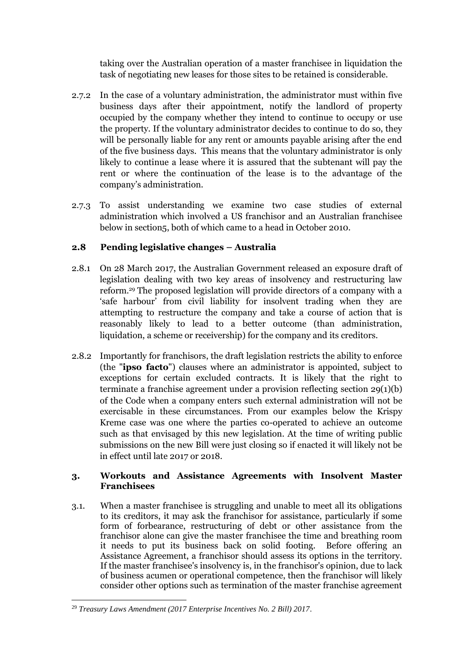taking over the Australian operation of a master franchisee in liquidation the task of negotiating new leases for those sites to be retained is considerable.

- 2.7.2 In the case of a voluntary administration, the administrator must within five business days after their appointment, notify the landlord of property occupied by the company whether they intend to continue to occupy or use the property. If the voluntary administrator decides to continue to do so, they will be personally liable for any rent or amounts payable arising after the end of the five business days. This means that the voluntary administrator is only likely to continue a lease where it is assured that the subtenant will pay the rent or where the continuation of the lease is to the advantage of the company's administration.
- 2.7.3 To assist understanding we examine two case studies of external administration which involved a US franchisor and an Australian franchisee below in section5, both of which came to a head in October 2010.

# **2.8 Pending legislative changes – Australia**

- 2.8.1 On 28 March 2017, the Australian Government released an exposure draft of legislation dealing with two key areas of insolvency and restructuring law reform.<sup>29</sup> The proposed legislation will provide directors of a company with a 'safe harbour' from civil liability for insolvent trading when they are attempting to restructure the company and take a course of action that is reasonably likely to lead to a better outcome (than administration, liquidation, a scheme or receivership) for the company and its creditors.
- 2.8.2 Importantly for franchisors, the draft legislation restricts the ability to enforce (the "**ipso facto**") clauses where an administrator is appointed, subject to exceptions for certain excluded contracts. It is likely that the right to terminate a franchise agreement under a provision reflecting section 29(1)(b) of the Code when a company enters such external administration will not be exercisable in these circumstances. From our examples below the Krispy Kreme case was one where the parties co-operated to achieve an outcome such as that envisaged by this new legislation. At the time of writing public submissions on the new Bill were just closing so if enacted it will likely not be in effect until late 2017 or 2018.

### **3. Workouts and Assistance Agreements with Insolvent Master Franchisees**

3.1. When a master franchisee is struggling and unable to meet all its obligations to its creditors, it may ask the franchisor for assistance, particularly if some form of forbearance, restructuring of debt or other assistance from the franchisor alone can give the master franchisee the time and breathing room it needs to put its business back on solid footing. Before offering an Assistance Agreement, a franchisor should assess its options in the territory. If the master franchisee's insolvency is, in the franchisor's opinion, due to lack of business acumen or operational competence, then the franchisor will likely consider other options such as termination of the master franchise agreement

 $\overline{\phantom{a}}$ <sup>29</sup> *Treasury Laws Amendment (2017 Enterprise Incentives No. 2 Bill) 2017*.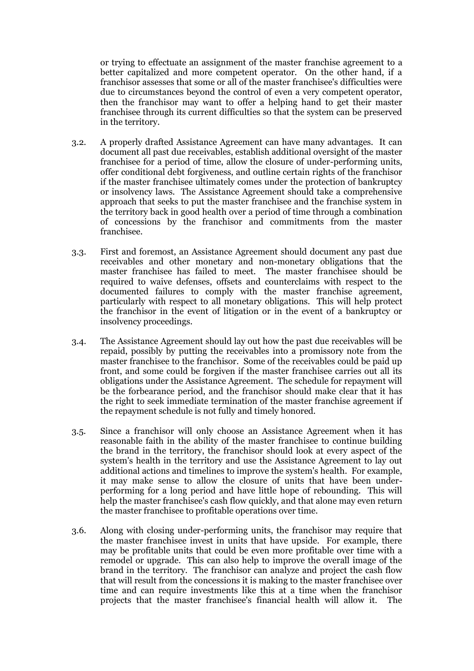or trying to effectuate an assignment of the master franchise agreement to a better capitalized and more competent operator. On the other hand, if a franchisor assesses that some or all of the master franchisee's difficulties were due to circumstances beyond the control of even a very competent operator, then the franchisor may want to offer a helping hand to get their master franchisee through its current difficulties so that the system can be preserved in the territory.

- 3.2. A properly drafted Assistance Agreement can have many advantages. It can document all past due receivables, establish additional oversight of the master franchisee for a period of time, allow the closure of under-performing units, offer conditional debt forgiveness, and outline certain rights of the franchisor if the master franchisee ultimately comes under the protection of bankruptcy or insolvency laws. The Assistance Agreement should take a comprehensive approach that seeks to put the master franchisee and the franchise system in the territory back in good health over a period of time through a combination of concessions by the franchisor and commitments from the master franchisee.
- 3.3. First and foremost, an Assistance Agreement should document any past due receivables and other monetary and non-monetary obligations that the master franchisee has failed to meet. The master franchisee should be required to waive defenses, offsets and counterclaims with respect to the documented failures to comply with the master franchise agreement, particularly with respect to all monetary obligations. This will help protect the franchisor in the event of litigation or in the event of a bankruptcy or insolvency proceedings.
- 3.4. The Assistance Agreement should lay out how the past due receivables will be repaid, possibly by putting the receivables into a promissory note from the master franchisee to the franchisor. Some of the receivables could be paid up front, and some could be forgiven if the master franchisee carries out all its obligations under the Assistance Agreement. The schedule for repayment will be the forbearance period, and the franchisor should make clear that it has the right to seek immediate termination of the master franchise agreement if the repayment schedule is not fully and timely honored.
- 3.5. Since a franchisor will only choose an Assistance Agreement when it has reasonable faith in the ability of the master franchisee to continue building the brand in the territory, the franchisor should look at every aspect of the system's health in the territory and use the Assistance Agreement to lay out additional actions and timelines to improve the system's health. For example, it may make sense to allow the closure of units that have been underperforming for a long period and have little hope of rebounding. This will help the master franchisee's cash flow quickly, and that alone may even return the master franchisee to profitable operations over time.
- 3.6. Along with closing under-performing units, the franchisor may require that the master franchisee invest in units that have upside. For example, there may be profitable units that could be even more profitable over time with a remodel or upgrade. This can also help to improve the overall image of the brand in the territory. The franchisor can analyze and project the cash flow that will result from the concessions it is making to the master franchisee over time and can require investments like this at a time when the franchisor projects that the master franchisee's financial health will allow it. The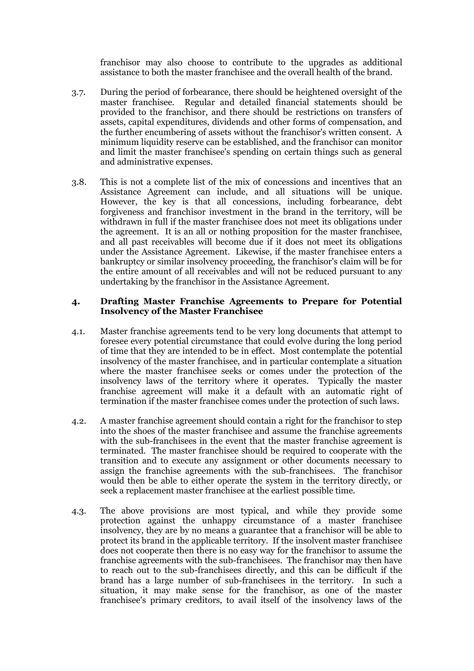franchisor may also choose to contribute to the upgrades as additional assistance to both the master franchisee and the overall health of the brand.

- 3.7. During the period of forbearance, there should be heightened oversight of the master franchisee. Regular and detailed financial statements should be provided to the franchisor, and there should be restrictions on transfers of assets, capital expenditures, dividends and other forms of compensation, and the further encumbering of assets without the franchisor's written consent. A minimum liquidity reserve can be established, and the franchisor can monitor and limit the master franchisee's spending on certain things such as general and administrative expenses.
- 3.8. This is not a complete list of the mix of concessions and incentives that an Assistance Agreement can include, and all situations will be unique. However, the key is that all concessions, including forbearance, debt forgiveness and franchisor investment in the brand in the territory, will be withdrawn in full if the master franchisee does not meet its obligations under the agreement. It is an all or nothing proposition for the master franchisee, and all past receivables will become due if it does not meet its obligations under the Assistance Agreement. Likewise, if the master franchisee enters a bankruptcy or similar insolvency proceeding, the franchisor's claim will be for the entire amount of all receivables and will not be reduced pursuant to any undertaking by the franchisor in the Assistance Agreement.

#### **4. Drafting Master Franchise Agreements to Prepare for Potential Insolvency of the Master Franchisee**

- 4.1. Master franchise agreements tend to be very long documents that attempt to foresee every potential circumstance that could evolve during the long period of time that they are intended to be in effect. Most contemplate the potential insolvency of the master franchisee, and in particular contemplate a situation where the master franchisee seeks or comes under the protection of the insolvency laws of the territory where it operates. Typically the master franchise agreement will make it a default with an automatic right of termination if the master franchisee comes under the protection of such laws.
- 4.2. A master franchise agreement should contain a right for the franchisor to step into the shoes of the master franchisee and assume the franchise agreements with the sub-franchisees in the event that the master franchise agreement is terminated. The master franchisee should be required to cooperate with the transition and to execute any assignment or other documents necessary to assign the franchise agreements with the sub-franchisees. The franchisor would then be able to either operate the system in the territory directly, or seek a replacement master franchisee at the earliest possible time.
- 4.3. The above provisions are most typical, and while they provide some protection against the unhappy circumstance of a master franchisee insolvency, they are by no means a guarantee that a franchisor will be able to protect its brand in the applicable territory. If the insolvent master franchisee does not cooperate then there is no easy way for the franchisor to assume the franchise agreements with the sub-franchisees. The franchisor may then have to reach out to the sub-franchisees directly, and this can be difficult if the brand has a large number of sub-franchisees in the territory. In such a situation, it may make sense for the franchisor, as one of the master franchisee's primary creditors, to avail itself of the insolvency laws of the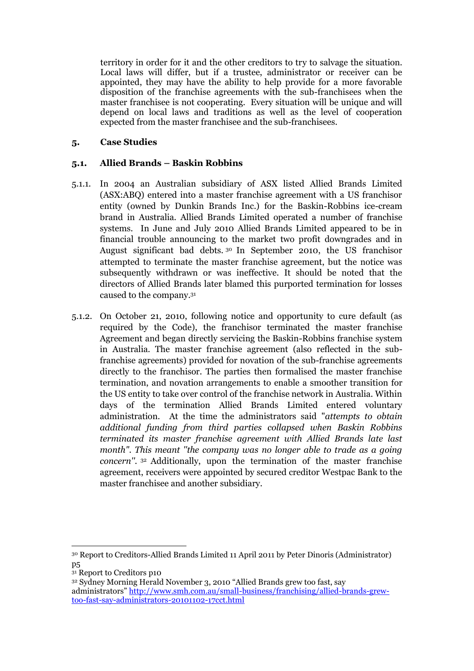territory in order for it and the other creditors to try to salvage the situation. Local laws will differ, but if a trustee, administrator or receiver can be appointed, they may have the ability to help provide for a more favorable disposition of the franchise agreements with the sub-franchisees when the master franchisee is not cooperating. Every situation will be unique and will depend on local laws and traditions as well as the level of cooperation expected from the master franchisee and the sub-franchisees.

### **5. Case Studies**

### **5.1. Allied Brands – Baskin Robbins**

- 5.1.1. In 2004 an Australian subsidiary of ASX listed Allied Brands Limited (ASX:ABQ) entered into a master franchise agreement with a US franchisor entity (owned by Dunkin Brands Inc.) for the Baskin-Robbins ice-cream brand in Australia. Allied Brands Limited operated a number of franchise systems. In June and July 2010 Allied Brands Limited appeared to be in financial trouble announcing to the market two profit downgrades and in August significant bad debts. <sup>30</sup> In September 2010, the US franchisor attempted to terminate the master franchise agreement, but the notice was subsequently withdrawn or was ineffective. It should be noted that the directors of Allied Brands later blamed this purported termination for losses caused to the company.<sup>31</sup>
- 5.1.2. On October 21, 2010, following notice and opportunity to cure default (as required by the Code), the franchisor terminated the master franchise Agreement and began directly servicing the Baskin-Robbins franchise system in Australia. The master franchise agreement (also reflected in the subfranchise agreements) provided for novation of the sub-franchise agreements directly to the franchisor. The parties then formalised the master franchise termination, and novation arrangements to enable a smoother transition for the US entity to take over control of the franchise network in Australia. Within days of the termination Allied Brands Limited entered voluntary administration. At the time the administrators said "*attempts to obtain additional funding from third parties collapsed when Baskin Robbins terminated its master franchise agreement with Allied Brands late last month". This meant ''the company was no longer able to trade as a going concern''.* <sup>32</sup> Additionally, upon the termination of the master franchise agreement, receivers were appointed by secured creditor Westpac Bank to the master franchisee and another subsidiary.

<sup>31</sup> Report to Creditors p10

 $\overline{\phantom{a}}$ <sup>30</sup> Report to Creditors-Allied Brands Limited 11 April 2011 by Peter Dinoris (Administrator) p5

<sup>32</sup> Sydney Morning Herald November 3, 2010 "Allied Brands grew too fast, say administrators" [http://www.smh.com.au/small-business/franchising/allied-brands-grew](http://www.smh.com.au/small-business/franchising/allied-brands-grew-too-fast-say-administrators-20101102-17cct.html)[too-fast-say-administrators-20101102-17cct.html](http://www.smh.com.au/small-business/franchising/allied-brands-grew-too-fast-say-administrators-20101102-17cct.html)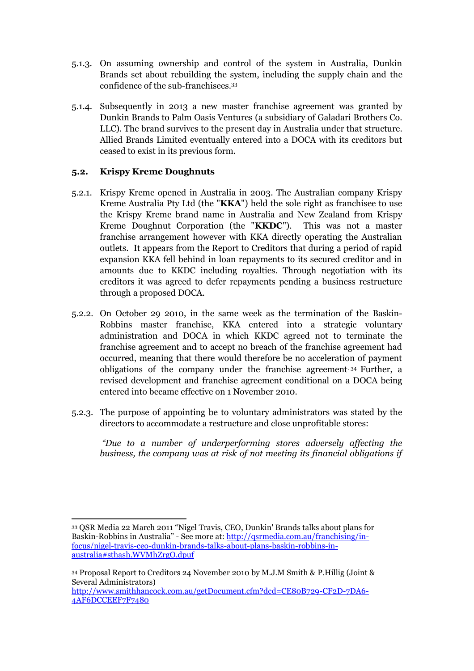- 5.1.3. On assuming ownership and control of the system in Australia, Dunkin Brands set about rebuilding the system, including the supply chain and the confidence of the sub-franchisees.<sup>33</sup>
- 5.1.4. Subsequently in 2013 a new master franchise agreement was granted by Dunkin Brands to Palm Oasis Ventures (a subsidiary of Galadari Brothers Co. LLC). The brand survives to the present day in Australia under that structure. Allied Brands Limited eventually entered into a DOCA with its creditors but ceased to exist in its previous form.

### **5.2. Krispy Kreme Doughnuts**

 $\overline{\phantom{a}}$ 

- 5.2.1. Krispy Kreme opened in Australia in 2003. The Australian company Krispy Kreme Australia Pty Ltd (the "**KKA**") held the sole right as franchisee to use the Krispy Kreme brand name in Australia and New Zealand from Krispy Kreme Doughnut Corporation (the "**KKDC**"). This was not a master franchise arrangement however with KKA directly operating the Australian outlets. It appears from the Report to Creditors that during a period of rapid expansion KKA fell behind in loan repayments to its secured creditor and in amounts due to KKDC including royalties. Through negotiation with its creditors it was agreed to defer repayments pending a business restructure through a proposed DOCA.
- 5.2.2. On October 29 2010, in the same week as the termination of the Baskin-Robbins master franchise, KKA entered into a strategic voluntary administration and DOCA in which KKDC agreed not to terminate the franchise agreement and to accept no breach of the franchise agreement had occurred, meaning that there would therefore be no acceleration of payment obligations of the company under the franchise agreement. <sup>34</sup> Further, a revised development and franchise agreement conditional on a DOCA being entered into became effective on 1 November 2010.
- 5.2.3. The purpose of appointing be to voluntary administrators was stated by the directors to accommodate a restructure and close unprofitable stores:

*"Due to a number of underperforming stores adversely affecting the business, the company was at risk of not meeting its financial obligations if* 

<sup>33</sup> QSR Media 22 March 2011 "Nigel Travis, CEO, Dunkin' Brands talks about plans for Baskin-Robbins in Australia" - See more at: [http://qsrmedia.com.au/franchising/in](http://qsrmedia.com.au/franchising/in-focus/nigel-travis-ceo-dunkin-brands-talks-about-plans-baskin-robbins-in-australia#sthash.WVMhZrgO.dpuf)[focus/nigel-travis-ceo-dunkin-brands-talks-about-plans-baskin-robbins-in](http://qsrmedia.com.au/franchising/in-focus/nigel-travis-ceo-dunkin-brands-talks-about-plans-baskin-robbins-in-australia#sthash.WVMhZrgO.dpuf)[australia#sthash.WVMhZrgO.dpuf](http://qsrmedia.com.au/franchising/in-focus/nigel-travis-ceo-dunkin-brands-talks-about-plans-baskin-robbins-in-australia#sthash.WVMhZrgO.dpuf)

<sup>34</sup> Proposal Report to Creditors 24 November 2010 by M.J.M Smith & P.Hillig (Joint & Several Administrators) [http://www.smithhancock.com.au/getDocument.cfm?dcd=CE80B729-CF2D-7DA6-](http://www.smithhancock.com.au/getDocument.cfm?dcd=CE80B729-CF2D-7DA6-4AF6DCCEEF7F7480) [4AF6DCCEEF7F7480](http://www.smithhancock.com.au/getDocument.cfm?dcd=CE80B729-CF2D-7DA6-4AF6DCCEEF7F7480)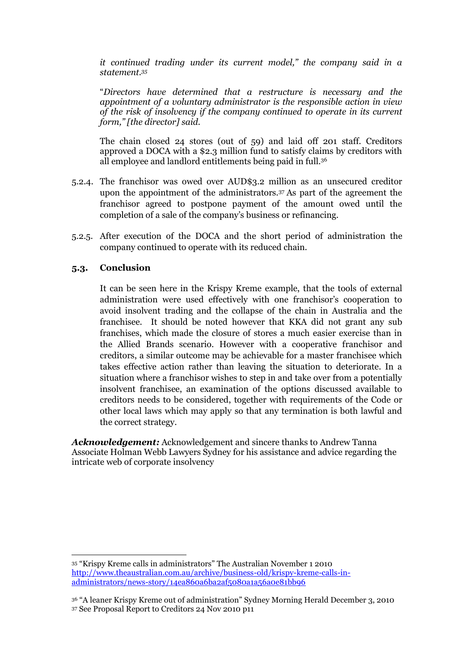*it continued trading under its current model," the company said in a statement.<sup>35</sup>*

"*Directors have determined that a restructure is necessary and the appointment of a voluntary administrator is the responsible action in view of the risk of insolvency if the company continued to operate in its current form," [the director] said.*

The chain closed 24 stores (out of 59) and laid off 201 staff. Creditors approved a DOCA with a \$2.3 million fund to satisfy claims by creditors with all employee and landlord entitlements being paid in full.<sup>36</sup>

- 5.2.4. The franchisor was owed over AUD\$3.2 million as an unsecured creditor upon the appointment of the administrators.<sup>37</sup> As part of the agreement the franchisor agreed to postpone payment of the amount owed until the completion of a sale of the company's business or refinancing.
- 5.2.5. After execution of the DOCA and the short period of administration the company continued to operate with its reduced chain.

### **5.3. Conclusion**

 $\overline{\phantom{a}}$ 

It can be seen here in the Krispy Kreme example, that the tools of external administration were used effectively with one franchisor's cooperation to avoid insolvent trading and the collapse of the chain in Australia and the franchisee. It should be noted however that KKA did not grant any sub franchises, which made the closure of stores a much easier exercise than in the Allied Brands scenario. However with a cooperative franchisor and creditors, a similar outcome may be achievable for a master franchisee which takes effective action rather than leaving the situation to deteriorate. In a situation where a franchisor wishes to step in and take over from a potentially insolvent franchisee, an examination of the options discussed available to creditors needs to be considered, together with requirements of the Code or other local laws which may apply so that any termination is both lawful and the correct strategy.

*Acknowledgement:* Acknowledgement and sincere thanks to Andrew Tanna Associate Holman Webb Lawyers Sydney for his assistance and advice regarding the intricate web of corporate insolvency

<sup>35</sup> "Krispy Kreme calls in administrators" The Australian November 1 2010 [http://www.theaustralian.com.au/archive/business-old/krispy-kreme-calls-in](http://www.theaustralian.com.au/archive/business-old/krispy-kreme-calls-in-administrators/news-story/14ea860a6ba2af5080a1a56a0e81bb96)[administrators/news-story/14ea860a6ba2af5080a1a56a0e81bb96](http://www.theaustralian.com.au/archive/business-old/krispy-kreme-calls-in-administrators/news-story/14ea860a6ba2af5080a1a56a0e81bb96)

<sup>36</sup> "A leaner Krispy Kreme out of administration" Sydney Morning Herald December 3, 2010 <sup>37</sup> See Proposal Report to Creditors 24 Nov 2010 p11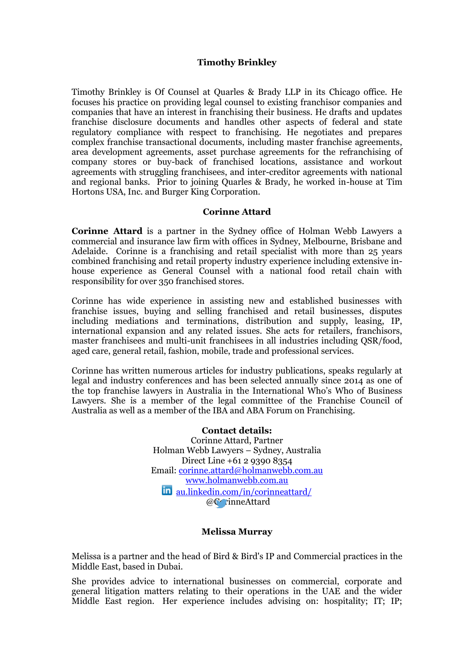### **Timothy Brinkley**

Timothy Brinkley is Of Counsel at Quarles & Brady LLP in its Chicago office. He focuses his practice on providing legal counsel to existing franchisor companies and companies that have an interest in franchising their business. He drafts and updates franchise disclosure documents and handles other aspects of federal and state regulatory compliance with respect to franchising. He negotiates and prepares complex franchise transactional documents, including master franchise agreements, area development agreements, asset purchase agreements for the refranchising of company stores or buy-back of franchised locations, assistance and workout agreements with struggling franchisees, and inter-creditor agreements with national and regional banks. Prior to joining Quarles & Brady, he worked in-house at Tim Hortons USA, Inc. and Burger King Corporation.

#### **Corinne Attard**

**Corinne Attard** is a partner in the Sydney office of Holman Webb Lawyers a commercial and insurance law firm with offices in Sydney, Melbourne, Brisbane and Adelaide. Corinne is a franchising and retail specialist with more than 25 years combined franchising and retail property industry experience including extensive inhouse experience as General Counsel with a national food retail chain with responsibility for over 350 franchised stores.

Corinne has wide experience in assisting new and established businesses with franchise issues, buying and selling franchised and retail businesses, disputes including mediations and terminations, distribution and supply, leasing, IP, international expansion and any related issues. She acts for retailers, franchisors, master franchisees and multi-unit franchisees in all industries including QSR/food, aged care, general retail, fashion, mobile, trade and professional services.

Corinne has written numerous articles for industry publications, speaks regularly at legal and industry conferences and has been selected annually since 2014 as one of the top franchise lawyers in Australia in the International Who's Who of Business Lawyers. She is a member of the legal committee of the Franchise Council of Australia as well as a member of the IBA and ABA Forum on Franchising.

> **Contact details:** Corinne Attard, Partner Holman Webb Lawyers – Sydney, Australia Direct Line +61 2 9390 8354 Email: [corinne.attard@holmanwebb.com.au](mailto:corinne.attard@holmanwebb.com.au) [www.holmanwebb.com.au](http://www.holmanwebb.com.au/) [au.linkedin.com/in/corinneattard/](http://au.linkedin.com/in/corinneattard/) @CorinneAttard

#### **Melissa Murray**

Melissa is a partner and the head of Bird & Bird's IP and Commercial practices in the Middle East, based in Dubai.

She provides advice to international businesses on commercial, corporate and general litigation matters relating to their operations in the UAE and the wider Middle East region. Her experience includes advising on: hospitality; IT; IP;